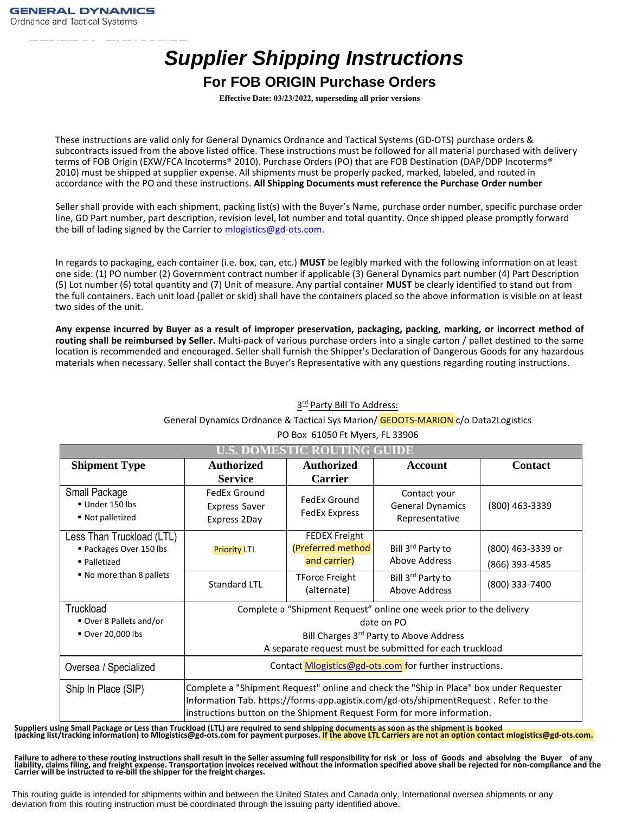## *Supplier Shipping Instructions*

## **For FOB ORIGIN Purchase Orders**

**Effective Date: 03/23/2022, superseding all prior versions**

These instructions are valid only for General Dynamics Ordnance and Tactical Systems (GD‐OTS) purchase orders & subcontracts issued from the above listed office. These instructions must be followed for all material purchased with delivery terms of FOB Origin (EXW/FCA Incoterms® 2010). Purchase Orders (PO) that are FOB Destination (DAP/DDP Incoterms® 2010) must be shipped at supplier expense. All shipments must be properly packed, marked, labeled, and routed in accordance with the PO and these instructions. **All Shipping Documents must reference the Purchase Order number** 

Seller shall provide with each shipment, packing list(s) with the Buyer's Name, purchase order number, specific purchase order line, GD Part number, part description, revision level, lot number and total quantity. Once shipped please promptly forward the bill of lading signed by the Carrier to mlogistics@gd-ots.com.

In regards to packaging, each container (i.e. box, can, etc.) **MUST** be legibly marked with the following information on at least one side: (1) PO number (2) Government contract number if applicable (3) General Dynamics part number (4) Part Description (5) Lot number (6) total quantity and (7) Unit of measure. Any partial container **MUST** be clearly identified to stand out from the full containers. Each unit load (pallet or skid) shall have the containers placed so the above information is visible on at least two sides of the unit.

**Any expense incurred by Buyer as a result of improper preservation, packaging, packing, marking, or incorrect method of routing shall be reimbursed by Seller.** Multi‐pack of various purchase orders into a single carton / pallet destined to the same location is recommended and encouraged. Seller shall furnish the Shipper's Declaration of Dangerous Goods for any hazardous materials when necessary. Seller shall contact the Buyer's Representative with any questions regarding routing instructions.

| <b>U.S. DOMESTIC ROUTING GUIDE</b>                                                             |                                                                                                                                                                                                                                                         |                                                                                    |                                                                                 |                                     |
|------------------------------------------------------------------------------------------------|---------------------------------------------------------------------------------------------------------------------------------------------------------------------------------------------------------------------------------------------------------|------------------------------------------------------------------------------------|---------------------------------------------------------------------------------|-------------------------------------|
| <b>Shipment Type</b>                                                                           | <b>Authorized</b><br><b>Service</b>                                                                                                                                                                                                                     | <b>Authorized</b><br><b>Carrier</b>                                                | Account                                                                         | <b>Contact</b>                      |
| Small Package<br>Under 150 lbs<br>■ Not palletized                                             | FedEx Ground<br><b>Express Saver</b><br>Express 2Day                                                                                                                                                                                                    | FedEx Ground<br><b>FedEx Express</b>                                               | Contact your<br><b>General Dynamics</b><br>Representative                       | (800) 463-3339                      |
| Less Than Truckload (LTL)<br>Packages Over 150 lbs<br>· Palletized<br>■ No more than 8 pallets | <b>Priority LTL</b>                                                                                                                                                                                                                                     | <b>FEDEX Freight</b><br>(Preferred method<br>and carrier)<br><b>TForce Freight</b> | Bill 3 <sup>rd</sup> Party to<br>Above Address<br>Bill 3 <sup>rd</sup> Party to | (800) 463-3339 or<br>(866) 393-4585 |
|                                                                                                | <b>Standard LTL</b>                                                                                                                                                                                                                                     | (alternate)                                                                        | Above Address                                                                   | (800) 333-7400                      |
| Truckload<br>Over 8 Pallets and/or<br>Over 20,000 lbs                                          | Complete a "Shipment Request" online one week prior to the delivery<br>date on PO<br>Bill Charges 3rd Party to Above Address<br>A separate request must be submitted for each truckload                                                                 |                                                                                    |                                                                                 |                                     |
| Oversea / Specialized                                                                          | Contact Mlogistics@gd-ots.com for further instructions.                                                                                                                                                                                                 |                                                                                    |                                                                                 |                                     |
| Ship In Place (SIP)                                                                            | Complete a "Shipment Request" online and check the "Ship in Place" box under Requester<br>Information Tab. https://forms-app.agistix.com/gd-ots/shipmentRequest. Refer to the<br>instructions button on the Shipment Request Form for more information. |                                                                                    |                                                                                 |                                     |

## General Dynamics Ordnance & Tactical Sys Marion/ GEDOTS-MARION c/o Data2Logistics PO Box 61050 Ft Myers, FL 33906

3<sup>rd</sup> Party Bill To Address:

Suppliers using Small Package or Less than Truckload (LTL) are required to send shipping documents as soon as the shipment is booked<br>(packing list/tracking information) to M[logistics@gd-ots.com f](mailto:logistics@gd-ots.com)or payment purposes. <mark>If th</mark>

Failure to adhere to these routing instructions shall result in the Seller assuming full responsibility for risk or loss of Goods and absolving the Buyer of any<br>liability, claims filing, and freight expense. Transportation

This routing guide is intended for shipments within and between the United States and Canada only. International oversea shipments or any deviation from this routing instruction must be coordinated through the issuing party identified above.